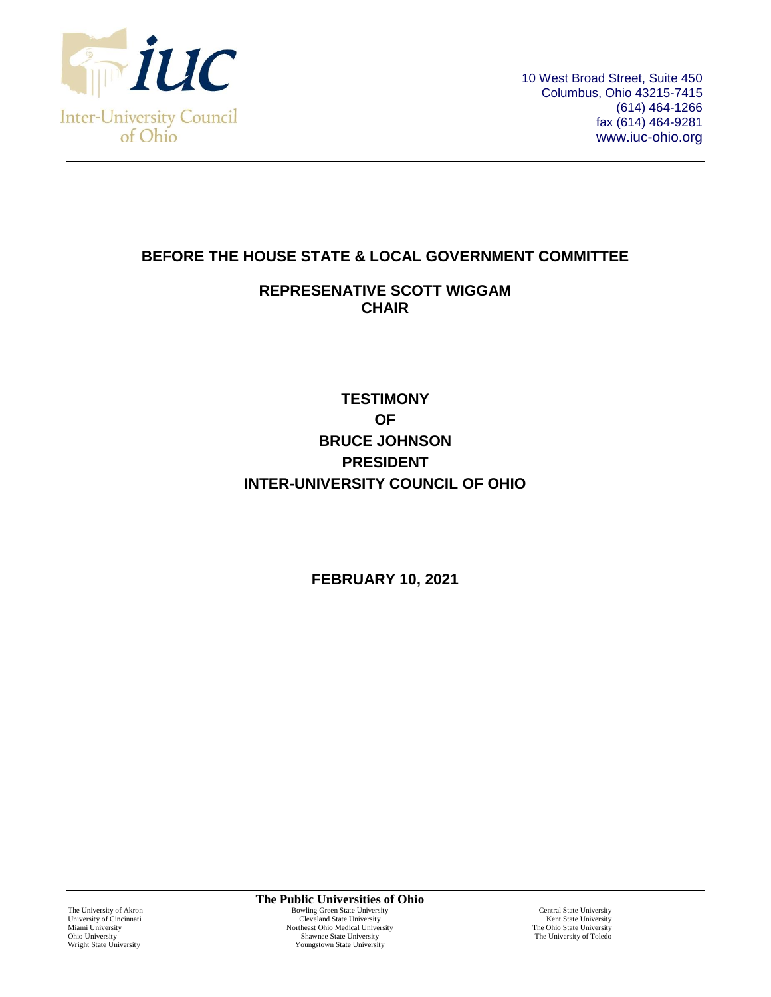

10 West Broad Street, Suite 450 Columbus, Ohio 43215-7415 (614) 464-1266 fax (614) 464-9281 www.iuc-ohio.org

## **BEFORE THE HOUSE STATE & LOCAL GOVERNMENT COMMITTEE**

## **REPRESENATIVE SCOTT WIGGAM CHAIR**

## **TESTIMONY OF BRUCE JOHNSON PRESIDENT INTER-UNIVERSITY COUNCIL OF OHIO**

**FEBRUARY 10, 2021**

**The Public Universities of Ohio** The University of Akron **Exercise 2 Serversity**<br>
Bowling Green State University Cleveland State University<br>
Cleveland State University Christian Cleveland State University Central State University Rent State University University of Cincinnati Cleveland State University Niami University Kent State University Niami University Niami University Niami University Niami University Niami University Niami University Niami University Niami Univer Miami University<br>
Microsoft Chio Medical University<br>
Microsoft Chio Medical University<br>
The University<br>
The University<br>
The University<br>
The University<br>
The University<br>
The University<br>
The University<br>
The University Ohio University Shawnee State University Shawnee State University Shawnee State University Shawnee State University Shawnee State University Shawnee State University Shawnee State University Shawnee State University Shawne Youngstown State University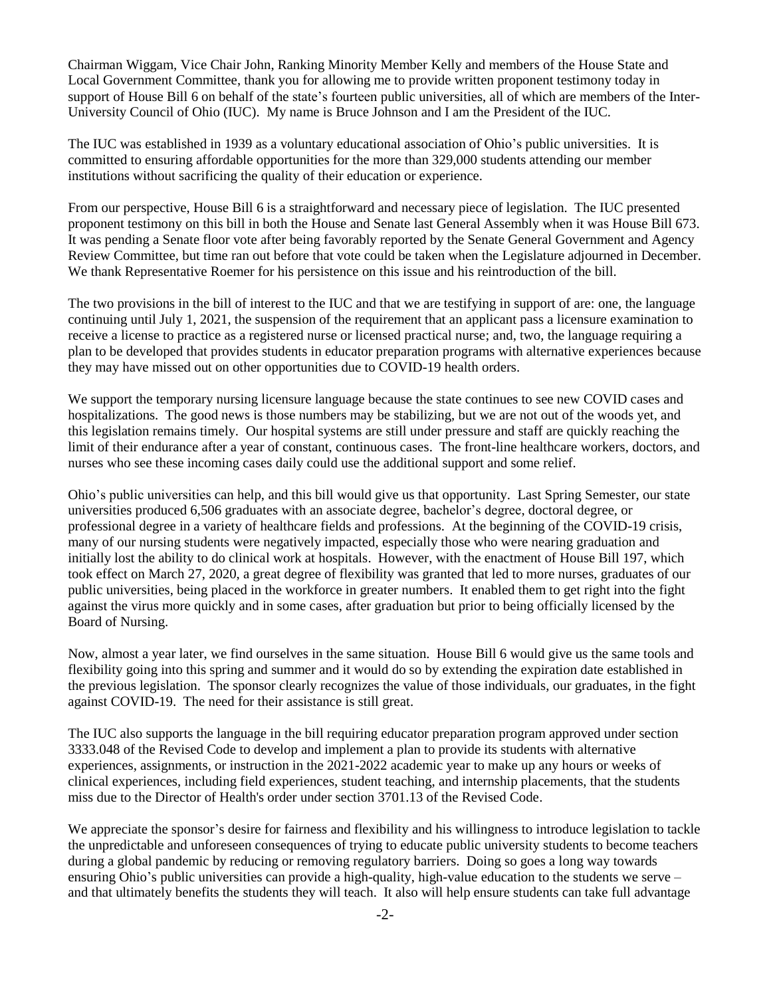Chairman Wiggam, Vice Chair John, Ranking Minority Member Kelly and members of the House State and Local Government Committee, thank you for allowing me to provide written proponent testimony today in support of House Bill 6 on behalf of the state's fourteen public universities, all of which are members of the Inter-University Council of Ohio (IUC). My name is Bruce Johnson and I am the President of the IUC.

The IUC was established in 1939 as a voluntary educational association of Ohio's public universities. It is committed to ensuring affordable opportunities for the more than 329,000 students attending our member institutions without sacrificing the quality of their education or experience.

From our perspective, House Bill 6 is a straightforward and necessary piece of legislation. The IUC presented proponent testimony on this bill in both the House and Senate last General Assembly when it was House Bill 673. It was pending a Senate floor vote after being favorably reported by the Senate General Government and Agency Review Committee, but time ran out before that vote could be taken when the Legislature adjourned in December. We thank Representative Roemer for his persistence on this issue and his reintroduction of the bill.

The two provisions in the bill of interest to the IUC and that we are testifying in support of are: one, the language continuing until July 1, 2021, the suspension of the requirement that an applicant pass a licensure examination to receive a license to practice as a registered nurse or licensed practical nurse; and, two, the language requiring a plan to be developed that provides students in educator preparation programs with alternative experiences because they may have missed out on other opportunities due to COVID-19 health orders.

We support the temporary nursing licensure language because the state continues to see new COVID cases and hospitalizations. The good news is those numbers may be stabilizing, but we are not out of the woods yet, and this legislation remains timely. Our hospital systems are still under pressure and staff are quickly reaching the limit of their endurance after a year of constant, continuous cases. The front-line healthcare workers, doctors, and nurses who see these incoming cases daily could use the additional support and some relief.

Ohio's public universities can help, and this bill would give us that opportunity. Last Spring Semester, our state universities produced 6,506 graduates with an associate degree, bachelor's degree, doctoral degree, or professional degree in a variety of healthcare fields and professions. At the beginning of the COVID-19 crisis, many of our nursing students were negatively impacted, especially those who were nearing graduation and initially lost the ability to do clinical work at hospitals. However, with the enactment of House Bill 197, which took effect on March 27, 2020, a great degree of flexibility was granted that led to more nurses, graduates of our public universities, being placed in the workforce in greater numbers. It enabled them to get right into the fight against the virus more quickly and in some cases, after graduation but prior to being officially licensed by the Board of Nursing.

Now, almost a year later, we find ourselves in the same situation. House Bill 6 would give us the same tools and flexibility going into this spring and summer and it would do so by extending the expiration date established in the previous legislation. The sponsor clearly recognizes the value of those individuals, our graduates, in the fight against COVID-19. The need for their assistance is still great.

The IUC also supports the language in the bill requiring educator preparation program approved under section 3333.048 of the Revised Code to develop and implement a plan to provide its students with alternative experiences, assignments, or instruction in the 2021-2022 academic year to make up any hours or weeks of clinical experiences, including field experiences, student teaching, and internship placements, that the students miss due to the Director of Health's order under section 3701.13 of the Revised Code.

We appreciate the sponsor's desire for fairness and flexibility and his willingness to introduce legislation to tackle the unpredictable and unforeseen consequences of trying to educate public university students to become teachers during a global pandemic by reducing or removing regulatory barriers. Doing so goes a long way towards ensuring Ohio's public universities can provide a high-quality, high-value education to the students we serve – and that ultimately benefits the students they will teach. It also will help ensure students can take full advantage